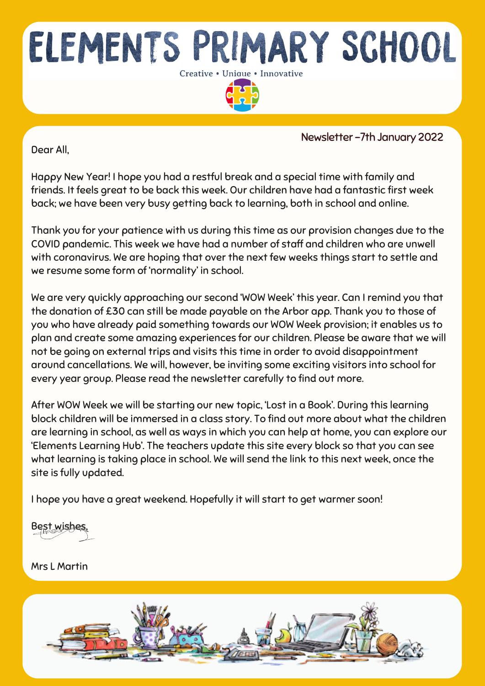

Dear All,

Newsletter -7th January 2022

Happy New Year! I hope you had a restful break and a special time with family and friends. It feels great to be back this week. Our children have had a fantastic first week back; we have been very busy getting back to learning, both in school and online.

Thank you for your patience with us during this time as our provision changes due to the COVID pandemic. This week we have had a number of staff and children who are unwell with coronavirus. We are hoping that over the next few weeks things start to settle and we resume some form of 'normality' in school.

We are very quickly approaching our second 'WOW Week' this year. Can I remind you that the donation of £30 can still be made payable on the Arbor app. Thank you to those of you who have already paid something towards our WOW Week provision; it enables us to plan and create some amazing experiences for our children. Please be aware that we will not be going on external trips and visits this time in order to avoid disappointment around cancellations. We will, however, be inviting some exciting visitors into school for every year group. Please read the newsletter carefully to find out more.

After WOW Week we will be starting our new topic, 'Lost in a Book'. During this learning block children will be immersed in a class story. To find out more about what the children are learning in school, as well as ways in which you can help at home, you can explore our 'Elements Learning Hub'. The teachers update this site every block so that you can see what learning is taking place in school. We will send the link to this next week, once the site is fully updated.

I hope you have a great weekend. Hopefully it will start to get warmer soon!

Best wishes,

Mrs L Martin